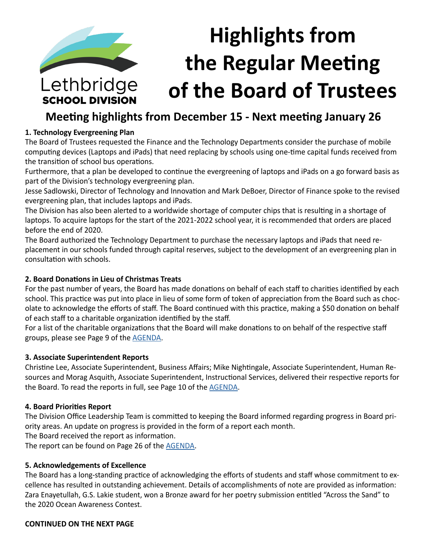# **Highlights from the Regular Meeting**  Lethbridge **of the Board of Trustees SCHOOL DIVISION**

## **Meeting highlights from December 15 - Next meeting January 26**

## **1. Technology Evergreening Plan**

The Board of Trustees requested the Finance and the Technology Departments consider the purchase of mobile computing devices (Laptops and iPads) that need replacing by schools using one-time capital funds received from the transition of school bus operations.

Furthermore, that a plan be developed to continue the evergreening of laptops and iPads on a go forward basis as part of the Division's technology evergreening plan.

Jesse Sadlowski, Director of Technology and Innovation and Mark DeBoer, Director of Finance spoke to the revised evergreening plan, that includes laptops and iPads.

The Division has also been alerted to a worldwide shortage of computer chips that is resulting in a shortage of laptops. To acquire laptops for the start of the 2021-2022 school year, it is recommended that orders are placed before the end of 2020.

The Board authorized the Technology Department to purchase the necessary laptops and iPads that need replacement in our schools funded through capital reserves, subject to the development of an evergreening plan in consultation with schools.

## **2. Board Donations in Lieu of Christmas Treats**

For the past number of years, the Board has made donations on behalf of each staff to charities identified by each school. This practice was put into place in lieu of some form of token of appreciation from the Board such as chocolate to acknowledge the efforts of staff. The Board continued with this practice, making a \$50 donation on behalf of each staff to a charitable organization identified by the staff.

For a list of the charitable organizations that the Board will make donations to on behalf of the respective staff groups, please see Page 9 of the [AGENDA](https://www.lethsd.ab.ca/download/316837).

## **3. Associate Superintendent Reports**

Christine Lee, Associate Superintendent, Business Affairs; Mike Nightingale, Associate Superintendent, Human Resources and Morag Asquith, Associate Superintendent, Instructional Services, delivered their respective reports for the Board. To read the reports in full, see Page 10 of the [AGENDA](https://www.lethsd.ab.ca/download/316837).

## **4. Board Priorities Report**

The Division Office Leadership Team is committed to keeping the Board informed regarding progress in Board priority areas. An update on progress is provided in the form of a report each month.

The Board received the report as information.

The report can be found on Page 26 of the [AGENDA](https://www.lethsd.ab.ca/download/316837).

## **5. Acknowledgements of Excellence**

The Board has a long-standing practice of acknowledging the efforts of students and staff whose commitment to excellence has resulted in outstanding achievement. Details of accomplishments of note are provided as information: Zara Enayetullah, G.S. Lakie student, won a Bronze award for her poetry submission entitled "Across the Sand" to the 2020 Ocean Awareness Contest.

## **CONTINUED ON THE NEXT PAGE**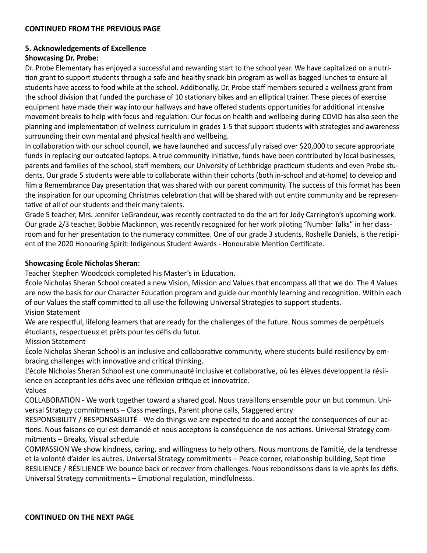#### **CONTINUED FROM THE PREVIOUS PAGE**

#### **5. Acknowledgements of Excellence**

#### **Showcasing Dr. Probe:**

Dr. Probe Elementary has enjoyed a successful and rewarding start to the school year. We have capitalized on a nutrition grant to support students through a safe and healthy snack-bin program as well as bagged lunches to ensure all students have access to food while at the school. Additionally, Dr. Probe staff members secured a wellness grant from the school division that funded the purchase of 10 stationary bikes and an elliptical trainer. These pieces of exercise equipment have made their way into our hallways and have offered students opportunities for additional intensive movement breaks to help with focus and regulation. Our focus on health and wellbeing during COVID has also seen the planning and implementation of wellness curriculum in grades 1-5 that support students with strategies and awareness surrounding their own mental and physical health and wellbeing.

In collaboration with our school council, we have launched and successfully raised over \$20,000 to secure appropriate funds in replacing our outdated laptops. A true community initiative, funds have been contributed by local businesses, parents and families of the school, staff members, our University of Lethbridge practicum students and even Probe students. Our grade 5 students were able to collaborate within their cohorts (both in-school and at-home) to develop and film a Remembrance Day presentation that was shared with our parent community. The success of this format has been the inspiration for our upcoming Christmas celebration that will be shared with out entire community and be representative of all of our students and their many talents.

Grade 5 teacher, Mrs. Jennifer LeGrandeur, was recently contracted to do the art for Jody Carrington's upcoming work. Our grade 2/3 teacher, Bobbie Mackinnon, was recently recognized for her work piloting "Number Talks" in her classroom and for her presentation to the numeracy committee. One of our grade 3 students, Roshelle Daniels, is the recipient of the 2020 Honouring Spirit: Indigenous Student Awards - Honourable Mention Certificate.

#### **Showcasing École Nicholas Sheran:**

Teacher Stephen Woodcock completed his Master's in Education.

École Nicholas Sheran School created a new Vision, Mission and Values that encompass all that we do. The 4 Values are now the basis for our Character Education program and guide our monthly learning and recognition. Within each of our Values the staff committed to all use the following Universal Strategies to support students. Vision Statement

We are respectful, lifelong learners that are ready for the challenges of the future. Nous sommes de perpétuels étudiants, respectueux et prêts pour les défis du futur.

Mission Statement

École Nicholas Sheran School is an inclusive and collaborative community, where students build resiliency by embracing challenges with innovative and critical thinking.

L'école Nicholas Sheran School est une communauté inclusive et collaborative, où les élèves développent la résilience en acceptant les défis avec une réflexion critique et innovatrice. Values

COLLABORATION - We work together toward a shared goal. Nous travaillons ensemble pour un but commun. Universal Strategy commitments – Class meetings, Parent phone calls, Staggered entry

RESPONSIBILITY / RESPONSABILITÉ - We do things we are expected to do and accept the consequences of our actions. Nous faisons ce qui est demandé et nous acceptons la conséquence de nos actions. Universal Strategy commitments – Breaks, Visual schedule

COMPASSION We show kindness, caring, and willingness to help others. Nous montrons de l'amitié, de la tendresse et la volonté d'aider les autres. Universal Strategy commitments – Peace corner, relationship building, Sept time RESILIENCE / RÉSILIENCE We bounce back or recover from challenges. Nous rebondissons dans la vie après les défis. Universal Strategy commitments – Emotional regulation, mindfulnesss.